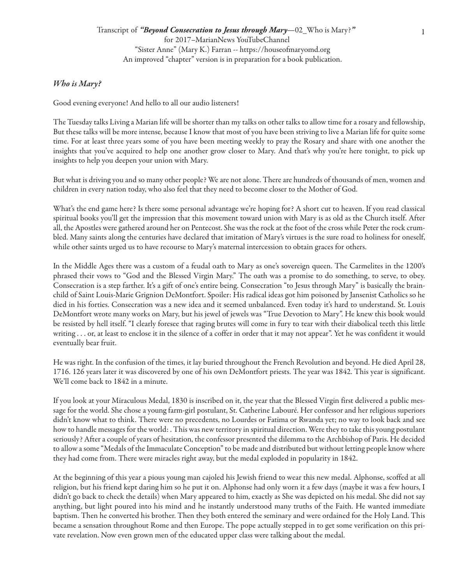## *Who is Mary?*

Good evening everyone! And hello to all our audio listeners!

The Tuesday talks Living a Marian life will be shorter than my talks on other talks to allow time for a rosary and fellowship, But these talks will be more intense, because I know that most of you have been striving to live a Marian life for quite some time. For at least three years some of you have been meeting weekly to pray the Rosary and share with one another the insights that you've acquired to help one another grow closer to Mary. And that's why you're here tonight, to pick up insights to help you deepen your union with Mary.

But what is driving you and so many other people? We are not alone. There are hundreds of thousands of men, women and children in every nation today, who also feel that they need to become closer to the Mother of God.

What's the end game here? Is there some personal advantage we're hoping for? A short cut to heaven. If you read classical spiritual books you'll get the impression that this movement toward union with Mary is as old as the Church itself. After all, the Apostles were gathered around her on Pentecost. She was the rock at the foot of the cross while Peter the rock crumbled. Many saints along the centuries have declared that imitation of Mary's virtues is the sure road to holiness for oneself, while other saints urged us to have recourse to Mary's maternal intercession to obtain graces for others.

In the Middle Ages there was a custom of a feudal oath to Mary as one's sovereign queen. The Carmelites in the 1200's phrased their vows to "God and the Blessed Virgin Mary." The oath was a promise to do something, to serve, to obey. Consecration is a step farther. It's a gift of one's entire being. Consecration "to Jesus through Mary" is basically the brainchild of Saint Louis-Marie Grignion DeMontfort. Spoiler: His radical ideas got him poisoned by Jansenist Catholics so he died in his forties. Consecration was a new idea and it seemed unbalanced. Even today it's hard to understand. St. Louis DeMontfort wrote many works on Mary, but his jewel of jewels was "True Devotion to Mary". He knew this book would be resisted by hell itself. "I clearly foresee that raging brutes will come in fury to tear with their diabolical teeth this little writing . . . or, at least to enclose it in the silence of a coffer in order that it may not appear". Yet he was confident it would eventually bear fruit.

He was right. In the confusion of the times, it lay buried throughout the French Revolution and beyond. He died April 28, 1716. 126 years later it was discovered by one of his own DeMontfort priests. The year was 1842. This year is significant. We'll come back to 1842 in a minute.

If you look at your Miraculous Medal, 1830 is inscribed on it, the year that the Blessed Virgin first delivered a public message for the world. She chose a young farm-girl postulant, St. Catherine Labouré. Her confessor and her religious superiors didn't know what to think. There were no precedents, no Lourdes or Fatima or Rwanda yet; no way to look back and see how to handle messages for the world: . This was new territory in spiritual direction. Were they to take this young postulant seriously? After a couple of years of hesitation, the confessor presented the dilemma to the Archbishop of Paris. He decided to allow a some "Medals of the Immaculate Conception" to be made and distributed but without letting people know where they had come from. There were miracles right away, but the medal exploded in popularity in 1842.

At the beginning of this year a pious young man cajoled his Jewish friend to wear this new medal. Alphonse, scoffed at all religion, but his friend kept daring him so he put it on. Alphonse had only worn it a few days (maybe it was a few hours, I didn't go back to check the details) when Mary appeared to him, exactly as She was depicted on his medal. She did not say anything, but light poured into his mind and he instantly understood many truths of the Faith. He wanted immediate baptism. Then he converted his brother. Then they both entered the seminary and were ordained for the Holy Land. This became a sensation throughout Rome and then Europe. The pope actually stepped in to get some verification on this private revelation. Now even grown men of the educated upper class were talking about the medal.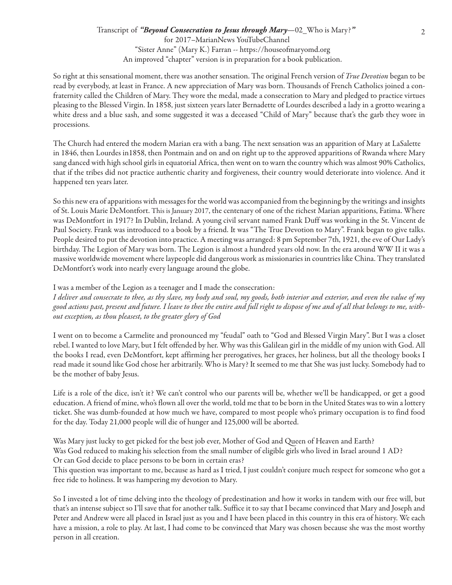So right at this sensational moment, there was another sensation. The original French version of *True Devotion* began to be read by everybody, at least in France. A new appreciation of Mary was born. Thousands of French Catholics joined a confraternity called the Children of Mary. They wore the medal, made a consecration to Mary and pledged to practice virtues pleasing to the Blessed Virgin. In 1858, just sixteen years later Bernadette of Lourdes described a lady in a grotto wearing a white dress and a blue sash, and some suggested it was a deceased "Child of Mary" because that's the garb they wore in processions.

The Church had entered the modern Marian era with a bang. The next sensation was an apparition of Mary at LaSalette in 1846, then Lourdes in1858, then Pontmain and on and on right up to the approved apparitions of Rwanda where Mary sang danced with high school girls in equatorial Africa, then went on to warn the country which was almost 90% Catholics, that if the tribes did not practice authentic charity and forgiveness, their country would deteriorate into violence. And it happened ten years later.

So this new era of apparitions with messages for the world was accompanied from the beginning by the writings and insights of St. Louis Marie DeMontfort. This is January 2017, the centenary of one of the richest Marian apparitions, Fatima. Where was DeMontfort in 1917? In Dublin, Ireland. A young civil servant named Frank Duff was working in the St. Vincent de Paul Society. Frank was introduced to a book by a friend. It was "The True Devotion to Mary". Frank began to give talks. People desired to put the devotion into practice. A meeting was arranged: 8 pm September 7th, 1921, the eve of Our Lady's birthday. The Legion of Mary was born. The Legion is almost a hundred years old now. In the era around WW II it was a massive worldwide movement where laypeople did dangerous work as missionaries in countries like China. They translated DeMontfort's work into nearly every language around the globe.

I was a member of the Legion as a teenager and I made the consecration:

*I deliver and consecrate to thee, as thy slave, my body and soul, my goods, both interior and exterior, and even the value of my good actions past, present and future. I leave to thee the entire and full right to dispose of me and of all that belongs to me, without exception, as thou pleasest, to the greater glory of God*

I went on to become a Carmelite and pronounced my "feudal" oath to "God and Blessed Virgin Mary". But I was a closet rebel. I wanted to love Mary, but I felt offended by her. Why was this Galilean girl in the middle of my union with God. All the books I read, even DeMontfort, kept affirming her prerogatives, her graces, her holiness, but all the theology books I read made it sound like God chose her arbitrarily. Who is Mary? It seemed to me that She was just lucky. Somebody had to be the mother of baby Jesus.

Life is a role of the dice, isn't it? We can't control who our parents will be, whether we'll be handicapped, or get a good education. A friend of mine, who's flown all over the world, told me that to be born in the United States was to win a lottery ticket. She was dumb-founded at how much we have, compared to most people who's primary occupation is to find food for the day. Today 21,000 people will die of hunger and 125,000 will be aborted.

Was Mary just lucky to get picked for the best job ever, Mother of God and Queen of Heaven and Earth? Was God reduced to making his selection from the small number of eligible girls who lived in Israel around 1 AD? Or can God decide to place persons to be born in certain eras?

This question was important to me, because as hard as I tried, I just couldn't conjure much respect for someone who got a free ride to holiness. It was hampering my devotion to Mary.

So I invested a lot of time delving into the theology of predestination and how it works in tandem with our free will, but that's an intense subject so I'll save that for another talk. Suffice it to say that I became convinced that Mary and Joseph and Peter and Andrew were all placed in Israel just as you and I have been placed in this country in this era of history. We each have a mission, a role to play. At last, I had come to be convinced that Mary was chosen because she was the most worthy person in all creation.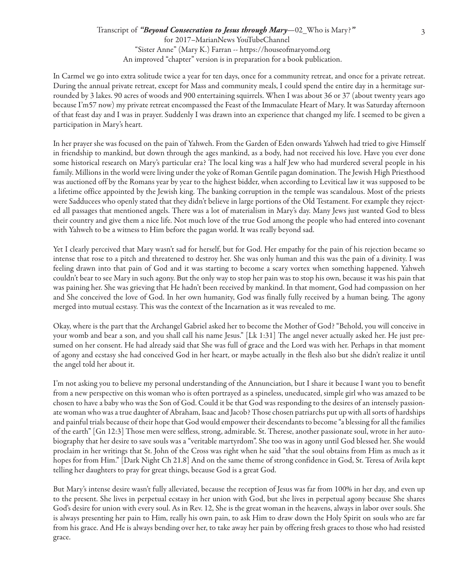In Carmel we go into extra solitude twice a year for ten days, once for a community retreat, and once for a private retreat. During the annual private retreat, except for Mass and community meals, I could spend the entire day in a hermitage surrounded by 3 lakes. 90 acres of woods and 900 entertaining squirrels. When I was about 36 or 37 (about twenty years ago because I'm57 now) my private retreat encompassed the Feast of the Immaculate Heart of Mary. It was Saturday afternoon of that feast day and I was in prayer. Suddenly I was drawn into an experience that changed my life. I seemed to be given a participation in Mary's heart.

In her prayer she was focused on the pain of Yahweh. From the Garden of Eden onwards Yahweh had tried to give Himself in friendship to mankind, but down through the ages mankind, as a body, had not received his love. Have you ever done some historical research on Mary's particular era? The local king was a half Jew who had murdered several people in his family. Millions in the world were living under the yoke of Roman Gentile pagan domination. The Jewish High Priesthood was auctioned off by the Romans year by year to the highest bidder, when according to Levitical law it was supposed to be a lifetime office appointed by the Jewish king. The banking corruption in the temple was scandalous. Most of the priests were Sadducees who openly stated that they didn't believe in large portions of the Old Testament. For example they rejected all passages that mentioned angels. There was a lot of materialism in Mary's day. Many Jews just wanted God to bless their country and give them a nice life. Not much love of the true God among the people who had entered into covenant with Yahweh to be a witness to Him before the pagan world. It was really beyond sad.

Yet I clearly perceived that Mary wasn't sad for herself, but for God. Her empathy for the pain of his rejection became so intense that rose to a pitch and threatened to destroy her. She was only human and this was the pain of a divinity. I was feeling drawn into that pain of God and it was starting to become a scary vortex when something happened. Yahweh couldn't bear to see Mary in such agony. But the only way to stop her pain was to stop his own, because it was his pain that was paining her. She was grieving that He hadn't been received by mankind. In that moment, God had compassion on her and She conceived the love of God. In her own humanity, God was finally fully received by a human being. The agony merged into mutual ecstasy. This was the context of the Incarnation as it was revealed to me.

Okay, where is the part that the Archangel Gabriel asked her to become the Mother of God? "Behold, you will conceive in your womb and bear a son, and you shall call his name Jesus." [Lk 1:31] The angel never actually asked her. He just presumed on her consent. He had already said that She was full of grace and the Lord was with her. Perhaps in that moment of agony and ecstasy she had conceived God in her heart, or maybe actually in the flesh also but she didn't realize it until the angel told her about it.

I'm not asking you to believe my personal understanding of the Annunciation, but I share it because I want you to benefit from a new perspective on this woman who is often portrayed as a spineless, uneducated, simple girl who was amazed to be chosen to have a baby who was the Son of God. Could it be that God was responding to the desires of an intensely passionate woman who was a true daughter of Abraham, Isaac and Jacob? Those chosen patriarchs put up with all sorts of hardships and painful trials because of their hope that God would empower their descendants to become "a blessing for all the families of the earth" [Gn 12:3] Those men were selfless, strong, admirable. St. Therese, another passionate soul, wrote in her autobiography that her desire to save souls was a "veritable martyrdom". She too was in agony until God blessed her. She would proclaim in her writings that St. John of the Cross was right when he said "that the soul obtains from Him as much as it hopes for from Him." [Dark Night Ch 21.8] And on the same theme of strong confidence in God, St. Teresa of Avila kept telling her daughters to pray for great things, because God is a great God.

But Mary's intense desire wasn't fully alleviated, because the reception of Jesus was far from 100% in her day, and even up to the present. She lives in perpetual ecstasy in her union with God, but she lives in perpetual agony because She shares God's desire for union with every soul. As in Rev. 12, She is the great woman in the heavens, always in labor over souls. She is always presenting her pain to Him, really his own pain, to ask Him to draw down the Holy Spirit on souls who are far from his grace. And He is always bending over her, to take away her pain by offering fresh graces to those who had resisted grace.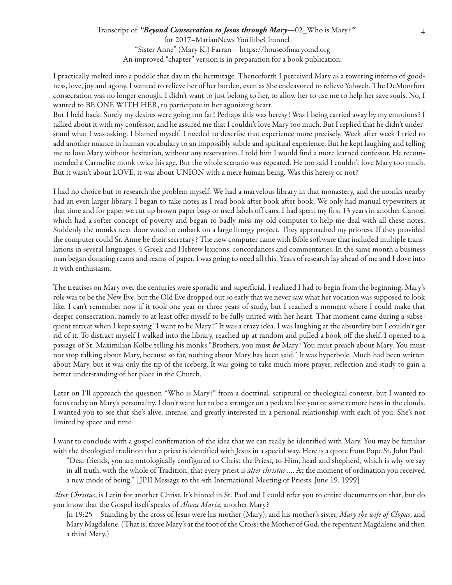I practically melted into a puddle that day in the hermitage. Thenceforth I perceived Mary as a towering inferno of goodness, love, joy and agony. I wanted to relieve her of her burden, even as She endeavored to relieve Yahweh. The DeMontfort consecration was no longer enough. I didn't want to just belong to her, to allow her to use me to help her save souls. No, I wanted to BE ONE WITH HER, to participate in her agonizing heart.

But I held back. Surely my desires were going too far! Perhaps this was heresy! Was I being carried away by my emotions? I talked about it with my confessor, and he assured me that I couldn't love Mary too much. But I replied that he didn't understand what I was asking. I blamed myself. I needed to describe that experience more precisely. Week after week I tried to add another nuance in human vocabulary to an impossibly subtle and spiritual experience. But he kept laughing and telling me to love Mary without hesitation, without any reservation. I told him I would find a more learned confessor. He recommended a Carmelite monk twice his age. But the whole scenario was repeated. He too said I couldn't love Mary too much. But it wasn't about LOVE, it was about UNION with a mere human being. Was this heresy or not?

I had no choice but to research the problem myself. We had a marvelous library in that monastery, and the monks nearby had an even larger library. I began to take notes as I read book after book after book. We only had manual typewriters at that time and for paper we cut up brown paper bags or used labels off cans. I had spent my first 13 years in another Carmel which had a softer concept of poverty and began to badly miss my old computer to help me deal with all these notes. Suddenly the monks next door voted to embark on a large liturgy project. They approached my prioress. If they provided the computer could Sr. Anne be their secretary? The new computer came with Bible software that included multiple translations in several languages, 4 Greek and Hebrew lexicons, concordances and commentaries. In the same month a business man began donating reams and reams of paper. I was going to need all this. Years of research lay ahead of me and I dove into it with enthusiasm.

The treatises on Mary over the centuries were sporadic and superficial. I realized I had to begin from the beginning. Mary's role was to be the New Eve, but the Old Eve dropped out so early that we never saw what her vocation was supposed to look like. I can't remember now if it took one year or three years of study, but I reached a moment where I could make that deeper consecration, namely to at least offer myself to be fully united with her heart. That moment came during a subsequent retreat when I kept saying "I want to be Mary!" It was a crazy idea. I was laughing at the absurdity but I couldn't get rid of it. To distract myself I walked into the library, reached up at random and pulled a book off the shelf. I opened to a passage of St. Maximilian Kolbe telling his monks "Brothers, you must *be* Mary! You must preach about Mary. You must not stop talking about Mary, because so far, nothing about Mary has been said." It was hyperbole. Much had been written about Mary, but it was only the tip of the iceberg. It was going to take much more prayer, reflection and study to gain a better understanding of her place in the Church.

Later on I'll approach the question "Who is Mary?" from a doctrinal, scriptural or theological context, but I wanted to focus today on Mary's personality. I don't want her to be a stranger on a pedestal for you or some remote hero in the clouds. I wanted you to see that she's alive, intense, and greatly interested in a personal relationship with each of you. She's not limited by space and time.

I want to conclude with a gospel confirmation of the idea that we can really be identified with Mary. You may be familiar with the theological tradition that a priest is identified with Jesus in a special way. Here is a quote from Pope St. John Paul:

"Dear friends, you are ontologically configured to Christ the Priest, to Him, head and shepherd, which is why we say in all truth, with the whole of Tradition, that every priest is *alter christus* …. At the moment of ordination you received a new mode of being." [ JPII Message to the 4th International Meeting of Priests, June 19, 1999]

*Alter Christus*, is Latin for another Christ. It's hinted in St. Paul and I could refer you to entire documents on that, but do you know that the Gospel itself speaks of *Altera Maria*, another Mary?

Jn 19:25—Standing by the cross of Jesus were his mother (Mary), and his mother's sister, *Mary the wife of Clopas*, and Mary Magdalene. (That is, three Mary's at the foot of the Cross: the Mother of God, the repentant Magdalene and then a third Mary.)